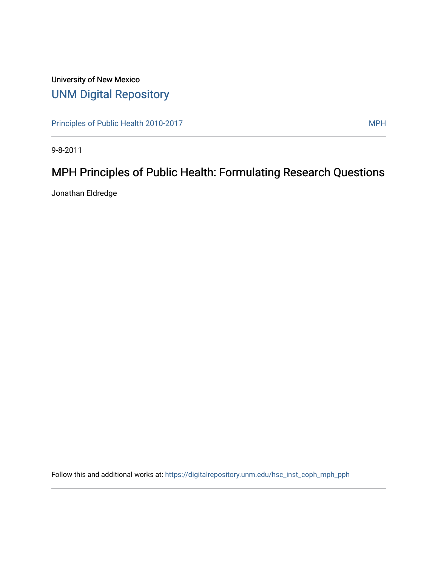### University of New Mexico [UNM Digital Repository](https://digitalrepository.unm.edu/)

[Principles of Public Health 2010-2017](https://digitalrepository.unm.edu/hsc_inst_coph_mph_pph) MPH

9-8-2011

# MPH Principles of Public Health: Formulating Research Questions

Jonathan Eldredge

Follow this and additional works at: [https://digitalrepository.unm.edu/hsc\\_inst\\_coph\\_mph\\_pph](https://digitalrepository.unm.edu/hsc_inst_coph_mph_pph?utm_source=digitalrepository.unm.edu%2Fhsc_inst_coph_mph_pph%2F5&utm_medium=PDF&utm_campaign=PDFCoverPages)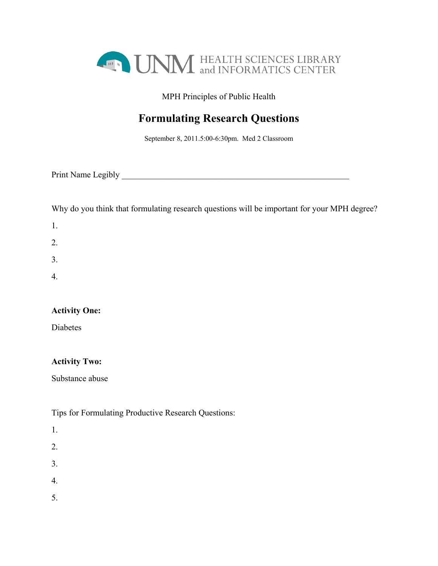

MPH Principles of Public Health

## **Formulating Research Questions**

September 8, 2011.5:00-6:30pm. Med 2 Classroom

| Print Name Legibly |  |
|--------------------|--|
|                    |  |

Why do you think that formulating research questions will be important for your MPH degree?

| ш |  |
|---|--|
|   |  |

- 2.
- 3.
- 4.

### **Activity One:**

Diabetes

#### **Activity Two:**

Substance abuse

Tips for Formulating Productive Research Questions:

1.

- 2.
- 3.

4.

5.